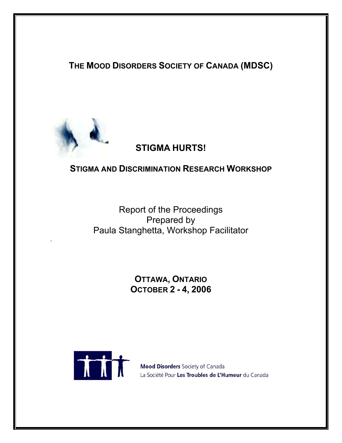**THE MOOD DISORDERS SOCIETY OF CANADA (MDSC)** 



# **STIGMA HURTS!**

# **STIGMA AND DISCRIMINATION RESEARCH WORKSHOP**

Report of the Proceedings Prepared by Paula Stanghetta, Workshop Facilitator .

> **OTTAWA, ONTARIO OCTOBER 2 - 4, 2006**



Mood Disorders Society of Canada La Société Pour Les Troubles de L'Humeur du Canada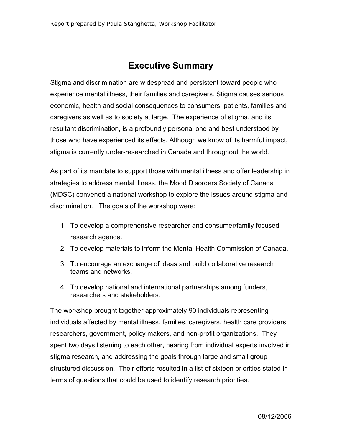# **Executive Summary**

Stigma and discrimination are widespread and persistent toward people who experience mental illness, their families and caregivers. Stigma causes serious economic, health and social consequences to consumers, patients, families and caregivers as well as to society at large. The experience of stigma, and its resultant discrimination, is a profoundly personal one and best understood by those who have experienced its effects. Although we know of its harmful impact, stigma is currently under-researched in Canada and throughout the world.

As part of its mandate to support those with mental illness and offer leadership in strategies to address mental illness, the Mood Disorders Society of Canada (MDSC) convened a national workshop to explore the issues around stigma and discrimination. The goals of the workshop were:

- 1. To develop a comprehensive researcher and consumer/family focused research agenda.
- 2. To develop materials to inform the Mental Health Commission of Canada.
- 3. To encourage an exchange of ideas and build collaborative research teams and networks.
- 4. To develop national and international partnerships among funders, researchers and stakeholders.

The workshop brought together approximately 90 individuals representing individuals affected by mental illness, families, caregivers, health care providers, researchers, government, policy makers, and non-profit organizations. They spent two days listening to each other, hearing from individual experts involved in stigma research, and addressing the goals through large and small group structured discussion. Their efforts resulted in a list of sixteen priorities stated in terms of questions that could be used to identify research priorities.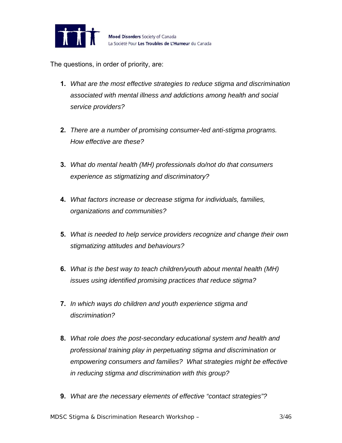

The questions, in order of priority, are:

- **1.** *What are the most effective strategies to reduce stigma and discrimination associated with mental illness and addictions among health and social service providers?*
- **2.** *There are a number of promising consumer-led anti-stigma programs. How effective are these?*
- **3.** *What do mental health (MH) professionals do/not do that consumers experience as stigmatizing and discriminatory?*
- **4.** *What factors increase or decrease stigma for individuals, families, organizations and communities?*
- **5.** *What is needed to help service providers recognize and change their own stigmatizing attitudes and behaviours?*
- **6.** *What is the best way to teach children/youth about mental health (MH) issues using identified promising practices that reduce stigma?*
- **7.** *In which ways do children and youth experience stigma and discrimination?*
- **8.** *What role does the post-secondary educational system and health and professional training play in perpetuating stigma and discrimination or empowering consumers and families? What strategies might be effective in reducing stigma and discrimination with this group?*
- **9.** *What are the necessary elements of effective "contact strategies"?*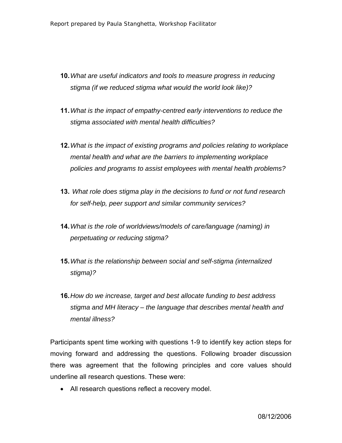- **10.** *What are useful indicators and tools to measure progress in reducing stigma (if we reduced stigma what would the world look like)?*
- **11.** *What is the impact of empathy-centred early interventions to reduce the stigma associated with mental health difficulties?*
- **12.** *What is the impact of existing programs and policies relating to workplace mental health and what are the barriers to implementing workplace policies and programs to assist employees with mental health problems?*
- **13.** *What role does stigma play in the decisions to fund or not fund research for self-help, peer support and similar community services?*
- **14.** *What is the role of worldviews/models of care/language (naming) in perpetuating or reducing stigma?*
- **15.** *What is the relationship between social and self-stigma (internalized stigma)?*
- **16.** *How do we increase, target and best allocate funding to best address stigma and MH literacy – the language that describes mental health and mental illness?*

Participants spent time working with questions 1-9 to identify key action steps for moving forward and addressing the questions. Following broader discussion there was agreement that the following principles and core values should underline all research questions. These were:

• All research questions reflect a recovery model.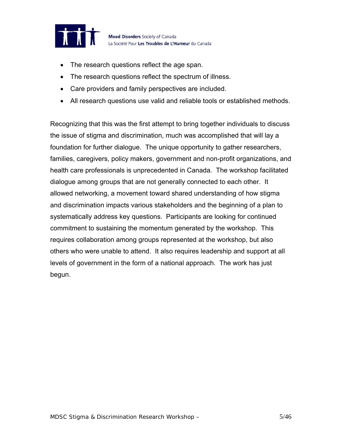

- The research questions reflect the age span.
- The research questions reflect the spectrum of illness.
- Care providers and family perspectives are included.
- All research questions use valid and reliable tools or established methods.

Recognizing that this was the first attempt to bring together individuals to discuss the issue of stigma and discrimination, much was accomplished that will lay a foundation for further dialogue. The unique opportunity to gather researchers, families, caregivers, policy makers, government and non-profit organizations, and health care professionals is unprecedented in Canada. The workshop facilitated dialogue among groups that are not generally connected to each other. It allowed networking, a movement toward shared understanding of how stigma and discrimination impacts various stakeholders and the beginning of a plan to systematically address key questions. Participants are looking for continued commitment to sustaining the momentum generated by the workshop. This requires collaboration among groups represented at the workshop, but also others who were unable to attend. It also requires leadership and support at all levels of government in the form of a national approach. The work has just begun.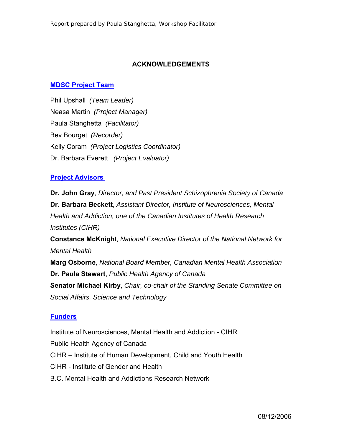#### **ACKNOWLEDGEMENTS**

#### **[MDSC Project Team](http://www.mooddisorderscanada.ca/Stigma/stigma_advisorygroup.htm)**

Phil Upshall *(Team Leader)* Neasa Martin *(Project Manager)*  Paula Stanghetta *(Facilitator)*  Bev Bourget *(Recorder)*  Kelly Coram *(Project Logistics Coordinator)* Dr. Barbara Everett *(Project Evaluator)* 

#### **[Project Advisors](http://www.mooddisorderscanada.ca/Stigma/stigma_advisorygroup.htm)**

**Dr. John Gray**, *Director, and Past President Schizophrenia Society of Canada*  **Dr. Barbara Beckett**, *Assistant Director, Institute of Neurosciences, Mental Health and Addiction, one of the Canadian Institutes of Health Research Institutes (CIHR)* 

**Constance McKnigh**t, *National Executive Director of the National Network for Mental Health* 

**Marg Osborne**, *National Board Member, Canadian Mental Health Association*  **Dr. Paula Stewart**, *Public Health Agency of Canada*  **Senator Michael Kirby**, *Chair, co-chair of the Standing Senate Committee on Social Affairs, Science and Technology*

#### **[Funders](http://www.mooddisorderscanada.ca/Stigma/workshop_sponsors.htm)**

Institute of Neurosciences, Mental Health and Addiction - CIHR Public Health Agency of Canada CIHR – Institute of Human Development, Child and Youth Health CIHR - Institute of Gender and Health B.C. Mental Health and Addictions Research Network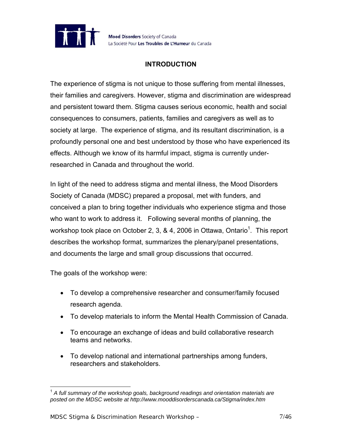

## **INTRODUCTION**

The experience of stigma is not unique to those suffering from mental illnesses, their families and caregivers. However, stigma and discrimination are widespread and persistent toward them. Stigma causes serious economic, health and social consequences to consumers, patients, families and caregivers as well as to society at large. The experience of stigma, and its resultant discrimination, is a profoundly personal one and best understood by those who have experienced its effects. Although we know of its harmful impact, stigma is currently underresearched in Canada and throughout the world.

In light of the need to address stigma and mental illness, the Mood Disorders Society of Canada (MDSC) prepared a proposal, met with funders, and conceived a plan to bring together individuals who experience stigma and those who want to work to address it. Following several months of planning, the workshop took place on October 2, 3, & 4, 2006 in Ottawa, Ontario<sup>1</sup>. This report describes the workshop format, summarizes the plenary/panel presentations, and documents the large and small group discussions that occurred.

The goals of the workshop were:

- To develop a comprehensive researcher and consumer/family focused research agenda.
- To develop materials to inform the Mental Health Commission of Canada.
- To encourage an exchange of ideas and build collaborative research teams and networks.
- To develop national and international partnerships among funders, researchers and stakeholders.

<span id="page-6-0"></span><sup>1</sup> 1  *A full summary of the workshop goals, background readings and orientation materials are posted on the MDSC website at http://www.mooddisorderscanada.ca/Stigma/index.htm*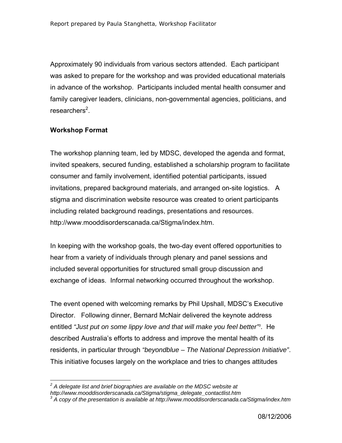Approximately 90 individuals from various sectors attended. Each participant was asked to prepare for the workshop and was provided educational materials in advance of the workshop. Participants included mental health consumer and family caregiver leaders, clinicians, non-governmental agencies, politicians, and researchers<sup>2</sup>[.](#page-7-0)

#### **Workshop Format**

The workshop planning team, led by MDSC, developed the agenda and format, invited speakers, secured funding, established a scholarship program to facilitate consumer and family involvement, identified potential participants, issued invitations, prepared background materials, and arranged on-site logistics. A stigma and discrimination website resource was created to orient participants including related background readings, presentations and resources. http://www.mooddisorderscanada.ca/Stigma/index.htm.

In keeping with the workshop goals, the two-day event offered opportunities to hear from a variety of individuals through plenary and panel sessions and included several opportunities for structured small group discussion and exchange of ideas. Informal networking occurred throughout the workshop.

The event opened with welcoming remarks by Phil Upshall, MDSC's Executive Director. Following dinner, Bernard McNair delivered the keynote address entitled *"Just put on some lippy love and that will make you feel better"[3](#page-7-1)* . He described Australia's efforts to address and improve the mental health of its residents, in particular through *"beyondblue – The National Depression Initiative"*. This initiative focuses largely on the workplace and tries to changes attitudes

<span id="page-7-0"></span><sup>1</sup> *2 A delegate list and brief biographies are available on the MDSC website at http://www.mooddisorderscanada.ca/Stigma/stigma\_delegate\_contactlist.htm 3*

<span id="page-7-1"></span>*A copy of the presentation is available at http://www.mooddisorderscanada.ca/Stigma/index.htm*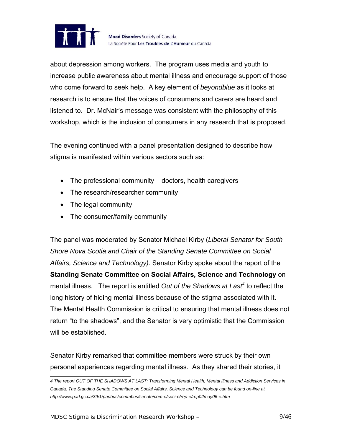

about depression among workers. The program uses media and youth to increase public awareness about mental illness and encourage support of those who come forward to seek help. A key element of *beyondblue* as it looks at research is to ensure that the voices of consumers and carers are heard and listened to. Dr. McNair's message was consistent with the philosophy of this workshop, which is the inclusion of consumers in any research that is proposed.

The evening continued with a panel presentation designed to describe how stigma is manifested within various sectors such as:

- The professional community doctors, health caregivers
- The research/researcher community
- The legal community
- The consumer/family community

The panel was moderated by Senator Michael Kirby (*Liberal Senator for South Shore Nova Scotia and Chair of the Standing Senate Committee on Social Affairs, Science and Technology).* Senator Kirby spoke about the report of the **Standing Senate Committee on Social Affairs, Science and Technology** on mental illness. The report is entitled *Out of the Shadows at Last<sup>4</sup>* to reflect the long history of hiding mental illness because of the stigma associated with it. The Mental Health Commission is critical to ensuring that mental illness does not return "to the shadows", and the Senator is very optimistic that the Commission will be established.

Senator Kirby remarked that committee members were struck by their own personal experiences regarding mental illness. As they shared their stories, it

<span id="page-8-0"></span> *4 The report OUT OF THE SHADOWS AT LAST: Transforming Mental Health, Mental Illness and Addiction Services in Canada, The Standing Senate Committee on Social Affairs, Science and Technology can be found on-line at http://www.parl.gc.ca/39/1/parlbus/commbus/senate/com-e/soci-e/rep-e/rep02may06-e.htm*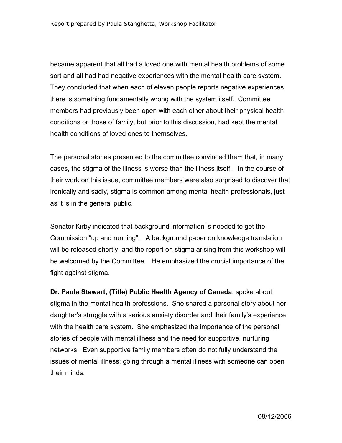became apparent that all had a loved one with mental health problems of some sort and all had had negative experiences with the mental health care system. They concluded that when each of eleven people reports negative experiences, there is something fundamentally wrong with the system itself. Committee members had previously been open with each other about their physical health conditions or those of family, but prior to this discussion, had kept the mental health conditions of loved ones to themselves.

The personal stories presented to the committee convinced them that, in many cases, the stigma of the illness is worse than the illness itself. In the course of their work on this issue, committee members were also surprised to discover that ironically and sadly, stigma is common among mental health professionals, just as it is in the general public.

Senator Kirby indicated that background information is needed to get the Commission "up and running". A background paper on knowledge translation will be released shortly, and the report on stigma arising from this workshop will be welcomed by the Committee. He emphasized the crucial importance of the fight against stigma.

**Dr. Paula Stewart, (Title) Public Health Agency of Canada**, spoke about stigma in the mental health professions. She shared a personal story about her daughter's struggle with a serious anxiety disorder and their family's experience with the health care system. She emphasized the importance of the personal stories of people with mental illness and the need for supportive, nurturing networks. Even supportive family members often do not fully understand the issues of mental illness; going through a mental illness with someone can open their minds.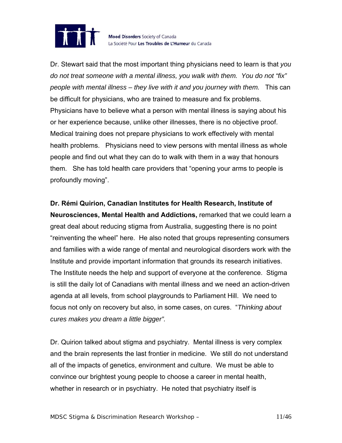

Dr. Stewart said that the most important thing physicians need to learn is that *you do not treat someone with a mental illness, you walk with them. You do not "fix" people with mental illness – they live with it and you journey with them.* This can be difficult for physicians, who are trained to measure and fix problems. Physicians have to believe what a person with mental illness is saying about his or her experience because, unlike other illnesses, there is no objective proof. Medical training does not prepare physicians to work effectively with mental health problems. Physicians need to view persons with mental illness as whole people and find out what they can do to walk with them in a way that honours them. She has told health care providers that "opening your arms to people is profoundly moving".

**Dr. Rémi Quirion, Canadian Institutes for Health Research, Institute of Neurosciences, Mental Health and Addictions,** remarked that we could learn a great deal about reducing stigma from Australia, suggesting there is no point "reinventing the wheel" here. He also noted that groups representing consumers and families with a wide range of mental and neurological disorders work with the Institute and provide important information that grounds its research initiatives. The Institute needs the help and support of everyone at the conference. Stigma is still the daily lot of Canadians with mental illness and we need an action-driven agenda at all levels, from school playgrounds to Parliament Hill. We need to focus not only on recovery but also, in some cases, on cures. "*Thinking about cures makes you dream a little bigger".* 

Dr. Quirion talked about stigma and psychiatry. Mental illness is very complex and the brain represents the last frontier in medicine. We still do not understand all of the impacts of genetics, environment and culture. We must be able to convince our brightest young people to choose a career in mental health, whether in research or in psychiatry. He noted that psychiatry itself is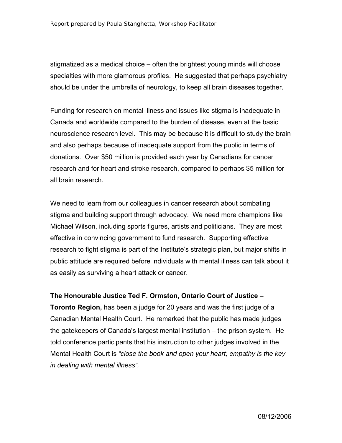stigmatized as a medical choice – often the brightest young minds will choose specialties with more glamorous profiles. He suggested that perhaps psychiatry should be under the umbrella of neurology, to keep all brain diseases together.

Funding for research on mental illness and issues like stigma is inadequate in Canada and worldwide compared to the burden of disease, even at the basic neuroscience research level. This may be because it is difficult to study the brain and also perhaps because of inadequate support from the public in terms of donations. Over \$50 million is provided each year by Canadians for cancer research and for heart and stroke research, compared to perhaps \$5 million for all brain research.

We need to learn from our colleagues in cancer research about combating stigma and building support through advocacy. We need more champions like Michael Wilson, including sports figures, artists and politicians. They are most effective in convincing government to fund research. Supporting effective research to fight stigma is part of the Institute's strategic plan, but major shifts in public attitude are required before individuals with mental illness can talk about it as easily as surviving a heart attack or cancer.

**The Honourable Justice Ted F. Ormston, Ontario Court of Justice –** 

**Toronto Region,** has been a judge for 20 years and was the first judge of a Canadian Mental Health Court. He remarked that the public has made judges the gatekeepers of Canada's largest mental institution – the prison system. He told conference participants that his instruction to other judges involved in the Mental Health Court is *"close the book and open your heart; empathy is the key in dealing with mental illness".*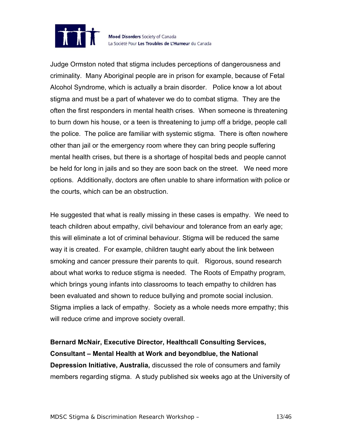

Judge Ormston noted that stigma includes perceptions of dangerousness and criminality. Many Aboriginal people are in prison for example, because of Fetal Alcohol Syndrome, which is actually a brain disorder. Police know a lot about stigma and must be a part of whatever we do to combat stigma. They are the often the first responders in mental health crises. When someone is threatening to burn down his house, or a teen is threatening to jump off a bridge, people call the police. The police are familiar with systemic stigma. There is often nowhere other than jail or the emergency room where they can bring people suffering mental health crises, but there is a shortage of hospital beds and people cannot be held for long in jails and so they are soon back on the street. We need more options. Additionally, doctors are often unable to share information with police or the courts, which can be an obstruction.

He suggested that what is really missing in these cases is empathy. We need to teach children about empathy, civil behaviour and tolerance from an early age; this will eliminate a lot of criminal behaviour. Stigma will be reduced the same way it is created. For example, children taught early about the link between smoking and cancer pressure their parents to quit. Rigorous, sound research about what works to reduce stigma is needed. The Roots of Empathy program, which brings young infants into classrooms to teach empathy to children has been evaluated and shown to reduce bullying and promote social inclusion. Stigma implies a lack of empathy. Society as a whole needs more empathy; this will reduce crime and improve society overall.

**Bernard McNair, Executive Director, Healthcall Consulting Services, Consultant – Mental Health at Work and beyondblue, the National Depression Initiative, Australia,** discussed the role of consumers and family members regarding stigma. A study published six weeks ago at the University of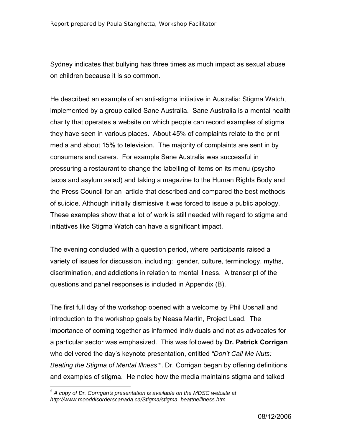Sydney indicates that bullying has three times as much impact as sexual abuse on children because it is so common.

He described an example of an anti-stigma initiative in Australia: Stigma Watch, implemented by a group called Sane Australia. Sane Australia is a mental health charity that operates a website on which people can record examples of stigma they have seen in various places. About 45% of complaints relate to the print media and about 15% to television. The majority of complaints are sent in by consumers and carers. For example Sane Australia was successful in pressuring a restaurant to change the labelling of items on its menu (psycho tacos and asylum salad) and taking a magazine to the Human Rights Body and the Press Council for an article that described and compared the best methods of suicide. Although initially dismissive it was forced to issue a public apology. These examples show that a lot of work is still needed with regard to stigma and initiatives like Stigma Watch can have a significant impact.

The evening concluded with a question period, where participants raised a variety of issues for discussion, including: gender, culture, terminology, myths, discrimination, and addictions in relation to mental illness. A transcript of the questions and panel responses is included in Appendix (B).

The first full day of the workshop opened with a welcome by Phil Upshall and introduction to the workshop goals by Neasa Martin, Project Lead. The importance of coming together as informed individuals and not as advocates for a particular sector was emphasized. This was followed by **Dr. Patrick Corrigan** who delivered the day's keynote presentation, entitled *"Don't Call Me Nuts: Beating the Stigma of Mental Illness"[5](#page-13-0)* . Dr. Corrigan began by offering definitions and examples of stigma. He noted how the media maintains stigma and talked

<span id="page-13-0"></span> *5 A copy of Dr. Corrigan's presentation is available on the MDSC website at http://www.mooddisorderscanada.ca/Stigma/stigma\_beattheillness.htm*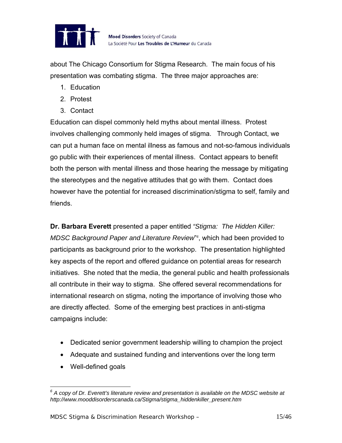

about The Chicago Consortium for Stigma Research. The main focus of his presentation was combating stigma. The three major approaches are:

- 1. Education
- 2. Protest
- 3. Contact

Education can dispel commonly held myths about mental illness. Protest involves challenging commonly held images of stigma. Through Contact, we can put a human face on mental illness as famous and not-so-famous individuals go public with their experiences of mental illness. Contact appears to benefit both the person with mental illness and those hearing the message by mitigating the stereotypes and the negative attitudes that go with them. Contact does however have the potential for increased discrimination/stigma to self, family and friends.

**Dr. Barbara Everett** presented a paper entitled *"Stigma: The Hidden Killer:*  MDSC Background Paper and Literature Review<sup>®</sup>, which had been provided to participants as background prior to the workshop. The presentation highlighted key aspects of the report and offered guidance on potential areas for research initiatives. She noted that the media, the general public and health professionals all contribute in their way to stigma. She offered several recommendations for international research on stigma, noting the importance of involving those who are directly affected. Some of the emerging best practices in anti-stigma campaigns include:

- Dedicated senior government leadership willing to champion the project
- Adequate and sustained funding and interventions over the long term
- Well-defined goals

<span id="page-14-0"></span> *6 A copy of Dr. Everett's literature review and presentation is available on the MDSC website at http://www.mooddisorderscanada.ca/Stigma/stigma\_hiddenkiller\_present.htm*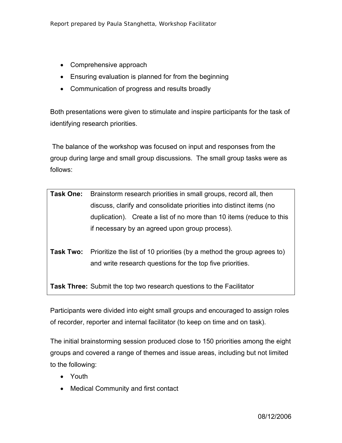- Comprehensive approach
- Ensuring evaluation is planned for from the beginning
- Communication of progress and results broadly

Both presentations were given to stimulate and inspire participants for the task of identifying research priorities.

 The balance of the workshop was focused on input and responses from the group during large and small group discussions. The small group tasks were as follows:

| <b>Task One:</b> Brainstorm research priorities in small groups, record all, then |
|-----------------------------------------------------------------------------------|
| discuss, clarify and consolidate priorities into distinct items (no               |
| duplication). Create a list of no more than 10 items (reduce to this              |
| if necessary by an agreed upon group process).                                    |

**Task Two:** Prioritize the list of 10 priorities (by a method the group agrees to) and write research questions for the top five priorities.

**Task Three:** Submit the top two research questions to the Facilitator

Participants were divided into eight small groups and encouraged to assign roles of recorder, reporter and internal facilitator (to keep on time and on task).

The initial brainstorming session produced close to 150 priorities among the eight groups and covered a range of themes and issue areas, including but not limited to the following:

- Youth
- Medical Community and first contact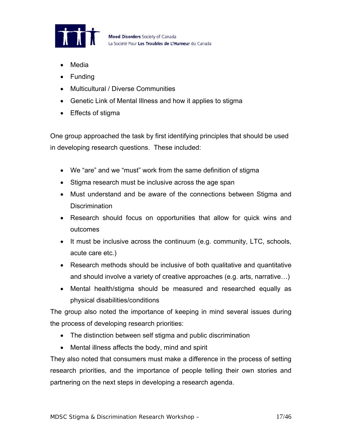

- Media
- Funding
- Multicultural / Diverse Communities
- Genetic Link of Mental Illness and how it applies to stigma
- Effects of stigma

One group approached the task by first identifying principles that should be used in developing research questions. These included:

- We "are" and we "must" work from the same definition of stigma
- Stigma research must be inclusive across the age span
- Must understand and be aware of the connections between Stigma and **Discrimination**
- Research should focus on opportunities that allow for quick wins and outcomes
- It must be inclusive across the continuum (e.g. community, LTC, schools, acute care etc.)
- Research methods should be inclusive of both qualitative and quantitative and should involve a variety of creative approaches (e.g. arts, narrative…)
- Mental health/stigma should be measured and researched equally as physical disabilities/conditions

The group also noted the importance of keeping in mind several issues during the process of developing research priorities:

- The distinction between self stigma and public discrimination
- Mental illness affects the body, mind and spirit

They also noted that consumers must make a difference in the process of setting research priorities, and the importance of people telling their own stories and partnering on the next steps in developing a research agenda.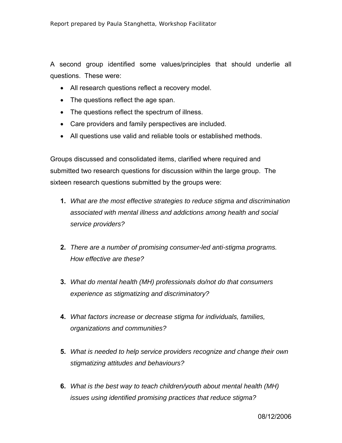A second group identified some values/principles that should underlie all questions.These were:

- All research questions reflect a recovery model.
- The questions reflect the age span.
- The questions reflect the spectrum of illness.
- Care providers and family perspectives are included.
- All questions use valid and reliable tools or established methods.

Groups discussed and consolidated items, clarified where required and submitted two research questions for discussion within the large group. The sixteen research questions submitted by the groups were:

- **1.** *What are the most effective strategies to reduce stigma and discrimination associated with mental illness and addictions among health and social service providers?*
- **2.** *There are a number of promising consumer-led anti-stigma programs. How effective are these?*
- **3.** *What do mental health (MH) professionals do/not do that consumers experience as stigmatizing and discriminatory?*
- **4.** *What factors increase or decrease stigma for individuals, families, organizations and communities?*
- **5.** *What is needed to help service providers recognize and change their own stigmatizing attitudes and behaviours?*
- **6.** *What is the best way to teach children/youth about mental health (MH) issues using identified promising practices that reduce stigma?*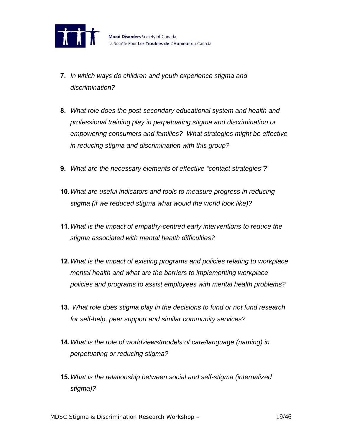

- **7.** *In which ways do children and youth experience stigma and discrimination?*
- **8.** *What role does the post-secondary educational system and health and professional training play in perpetuating stigma and discrimination or empowering consumers and families? What strategies might be effective in reducing stigma and discrimination with this group?*
- **9.** *What are the necessary elements of effective "contact strategies"?*
- **10.** *What are useful indicators and tools to measure progress in reducing stigma (if we reduced stigma what would the world look like)?*
- **11.** *What is the impact of empathy-centred early interventions to reduce the stigma associated with mental health difficulties?*
- **12.** *What is the impact of existing programs and policies relating to workplace mental health and what are the barriers to implementing workplace policies and programs to assist employees with mental health problems?*
- **13.** *What role does stigma play in the decisions to fund or not fund research for self-help, peer support and similar community services?*
- **14.** *What is the role of worldviews/models of care/language (naming) in perpetuating or reducing stigma?*
- **15.** *What is the relationship between social and self-stigma (internalized stigma)?*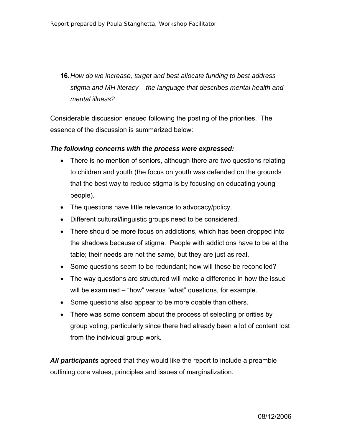**16.** *How do we increase, target and best allocate funding to best address stigma and MH literacy – the language that describes mental health and mental illness?* 

Considerable discussion ensued following the posting of the priorities. The essence of the discussion is summarized below:

#### *The following concerns with the process were expressed:*

- There is no mention of seniors, although there are two questions relating to children and youth (the focus on youth was defended on the grounds that the best way to reduce stigma is by focusing on educating young people).
- The questions have little relevance to advocacy/policy.
- Different cultural/linguistic groups need to be considered.
- There should be more focus on addictions, which has been dropped into the shadows because of stigma. People with addictions have to be at the table; their needs are not the same, but they are just as real.
- Some questions seem to be redundant; how will these be reconciled?
- The way questions are structured will make a difference in how the issue will be examined – "how" versus "what" questions, for example.
- Some questions also appear to be more doable than others.
- There was some concern about the process of selecting priorities by group voting, particularly since there had already been a lot of content lost from the individual group work.

*All participants* agreed that they would like the report to include a preamble outlining core values, principles and issues of marginalization.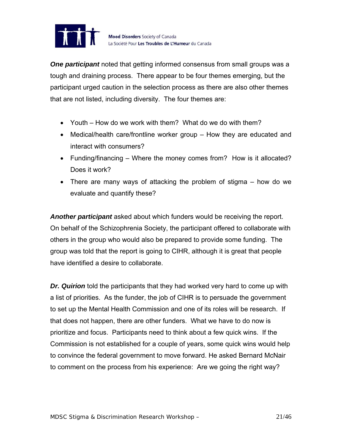

*One participant* noted that getting informed consensus from small groups was a tough and draining process. There appear to be four themes emerging, but the participant urged caution in the selection process as there are also other themes that are not listed, including diversity. The four themes are:

- Youth How do we work with them? What do we do with them?
- Medical/health care/frontline worker group How they are educated and interact with consumers?
- Funding/financing Where the money comes from? How is it allocated? Does it work?
- There are many ways of attacking the problem of stigma how do we evaluate and quantify these?

*Another participant* asked about which funders would be receiving the report. On behalf of the Schizophrenia Society, the participant offered to collaborate with others in the group who would also be prepared to provide some funding. The group was told that the report is going to CIHR, although it is great that people have identified a desire to collaborate.

*Dr. Quirion* told the participants that they had worked very hard to come up with a list of priorities. As the funder, the job of CIHR is to persuade the government to set up the Mental Health Commission and one of its roles will be research. If that does not happen, there are other funders. What we have to do now is prioritize and focus. Participants need to think about a few quick wins. If the Commission is not established for a couple of years, some quick wins would help to convince the federal government to move forward. He asked Bernard McNair to comment on the process from his experience: Are we going the right way?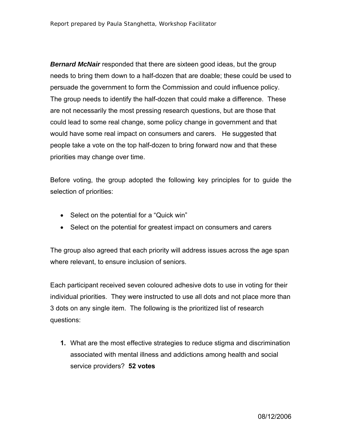*Bernard McNair* responded that there are sixteen good ideas, but the group needs to bring them down to a half-dozen that are doable; these could be used to persuade the government to form the Commission and could influence policy. The group needs to identify the half-dozen that could make a difference. These are not necessarily the most pressing research questions, but are those that could lead to some real change, some policy change in government and that would have some real impact on consumers and carers. He suggested that people take a vote on the top half-dozen to bring forward now and that these priorities may change over time.

Before voting, the group adopted the following key principles for to guide the selection of priorities:

- Select on the potential for a "Quick win"
- Select on the potential for greatest impact on consumers and carers

The group also agreed that each priority will address issues across the age span where relevant, to ensure inclusion of seniors.

Each participant received seven coloured adhesive dots to use in voting for their individual priorities. They were instructed to use all dots and not place more than 3 dots on any single item. The following is the prioritized list of research questions:

**1.** What are the most effective strategies to reduce stigma and discrimination associated with mental illness and addictions among health and social service providers? **52 votes**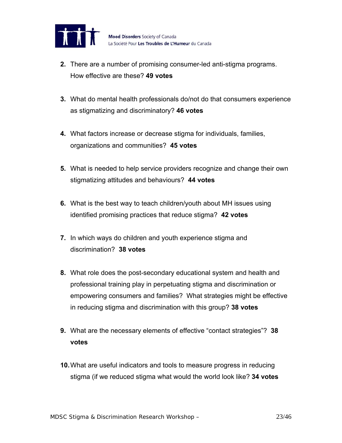

- **2.** There are a number of promising consumer-led anti-stigma programs. How effective are these? **49 votes**
- **3.** What do mental health professionals do/not do that consumers experience as stigmatizing and discriminatory? **46 votes**
- **4.** What factors increase or decrease stigma for individuals, families, organizations and communities? **45 votes**
- **5.** What is needed to help service providers recognize and change their own stigmatizing attitudes and behaviours? **44 votes**
- **6.** What is the best way to teach children/youth about MH issues using identified promising practices that reduce stigma? **42 votes**
- **7.** In which ways do children and youth experience stigma and discrimination? **38 votes**
- **8.** What role does the post-secondary educational system and health and professional training play in perpetuating stigma and discrimination or empowering consumers and families? What strategies might be effective in reducing stigma and discrimination with this group? **38 votes**
- **9.** What are the necessary elements of effective "contact strategies"? **38 votes**
- **10.** What are useful indicators and tools to measure progress in reducing stigma (if we reduced stigma what would the world look like? **34 votes**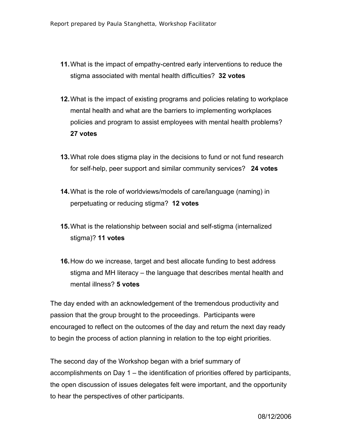- **11.** What is the impact of empathy-centred early interventions to reduce the stigma associated with mental health difficulties? **32 votes**
- **12.** What is the impact of existing programs and policies relating to workplace mental health and what are the barriers to implementing workplaces policies and program to assist employees with mental health problems? **27 votes**
- **13.** What role does stigma play in the decisions to fund or not fund research for self-help, peer support and similar community services? **24 votes**
- **14.** What is the role of worldviews/models of care/language (naming) in perpetuating or reducing stigma? **12 votes**
- **15.** What is the relationship between social and self-stigma (internalized stigma)? **11 votes**
- **16.** How do we increase, target and best allocate funding to best address stigma and MH literacy – the language that describes mental health and mental illness? **5 votes**

The day ended with an acknowledgement of the tremendous productivity and passion that the group brought to the proceedings. Participants were encouraged to reflect on the outcomes of the day and return the next day ready to begin the process of action planning in relation to the top eight priorities.

The second day of the Workshop began with a brief summary of accomplishments on Day 1 – the identification of priorities offered by participants, the open discussion of issues delegates felt were important, and the opportunity to hear the perspectives of other participants.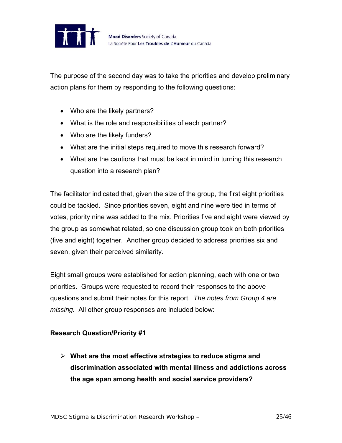

The purpose of the second day was to take the priorities and develop preliminary action plans for them by responding to the following questions:

- Who are the likely partners?
- What is the role and responsibilities of each partner?
- Who are the likely funders?
- What are the initial steps required to move this research forward?
- What are the cautions that must be kept in mind in turning this research question into a research plan?

The facilitator indicated that, given the size of the group, the first eight priorities could be tackled. Since priorities seven, eight and nine were tied in terms of votes, priority nine was added to the mix. Priorities five and eight were viewed by the group as somewhat related, so one discussion group took on both priorities (five and eight) together. Another group decided to address priorities six and seven, given their perceived similarity.

Eight small groups were established for action planning, each with one or two priorities. Groups were requested to record their responses to the above questions and submit their notes for this report. *The notes from Group 4 are missing.* All other group responses are included below:

## **Research Question/Priority #1**

¾ **What are the most effective strategies to reduce stigma and discrimination associated with mental illness and addictions across the age span among health and social service providers?**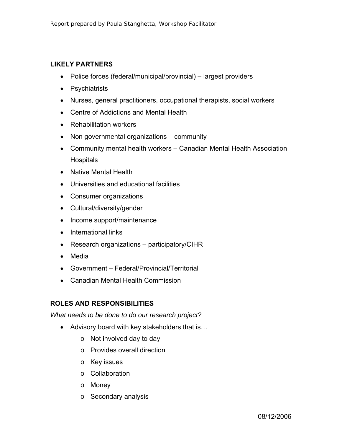## **LIKELY PARTNERS**

- Police forces (federal/municipal/provincial) largest providers
- Psychiatrists
- Nurses, general practitioners, occupational therapists, social workers
- Centre of Addictions and Mental Health
- Rehabilitation workers
- Non governmental organizations community
- Community mental health workers Canadian Mental Health Association **Hospitals**
- Native Mental Health
- Universities and educational facilities
- Consumer organizations
- Cultural/diversity/gender
- Income support/maintenance
- International links
- Research organizations participatory/CIHR
- Media
- Government Federal/Provincial/Territorial
- Canadian Mental Health Commission

# **ROLES AND RESPONSIBILITIES**

*What needs to be done to do our research project?* 

- Advisory board with key stakeholders that is…
	- o Not involved day to day
	- o Provides overall direction
	- o Key issues
	- o Collaboration
	- o Money
	- o Secondary analysis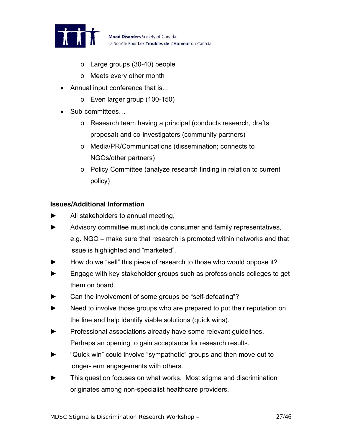

Mood Disorders Society of Canada La Société Pour Les Troubles de L'Humeur du Canada

- o Large groups (30-40) people
- o Meets every other month
- Annual input conference that is...
	- o Even larger group (100-150)
- Sub-committees...
	- o Research team having a principal (conducts research, drafts proposal) and co-investigators (community partners)
	- o Media/PR/Communications (dissemination; connects to NGOs/other partners)
	- o Policy Committee (analyze research finding in relation to current policy)

## **Issues/Additional Information**

- All stakeholders to annual meeting,
- ► Advisory committee must include consumer and family representatives, e.g. NGO – make sure that research is promoted within networks and that issue is highlighted and "marketed".
- How do we "sell" this piece of research to those who would oppose it?
- Engage with key stakeholder groups such as professionals colleges to get them on board.
- Can the involvement of some groups be "self-defeating"?
- ► Need to involve those groups who are prepared to put their reputation on the line and help identify viable solutions (quick wins).
- Professional associations already have some relevant guidelines. Perhaps an opening to gain acceptance for research results.
- ► "Quick win" could involve "sympathetic" groups and then move out to longer-term engagements with others.
- ► This question focuses on what works. Most stigma and discrimination originates among non-specialist healthcare providers.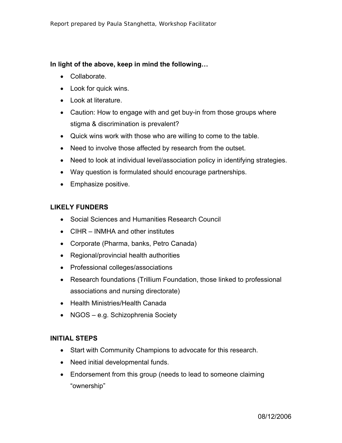## **In light of the above, keep in mind the following…**

- Collaborate.
- Look for quick wins.
- Look at literature.
- Caution: How to engage with and get buy-in from those groups where stigma & discrimination is prevalent?
- Quick wins work with those who are willing to come to the table.
- Need to involve those affected by research from the outset.
- Need to look at individual level/association policy in identifying strategies.
- Way question is formulated should encourage partnerships.
- Emphasize positive.

## **LIKELY FUNDERS**

- Social Sciences and Humanities Research Council
- CIHR INMHA and other institutes
- Corporate (Pharma, banks, Petro Canada)
- Regional/provincial health authorities
- Professional colleges/associations
- Research foundations (Trillium Foundation, those linked to professional associations and nursing directorate)
- Health Ministries/Health Canada
- NGOS e.g. Schizophrenia Society

## **INITIAL STEPS**

- Start with Community Champions to advocate for this research.
- Need initial developmental funds.
- Endorsement from this group (needs to lead to someone claiming "ownership"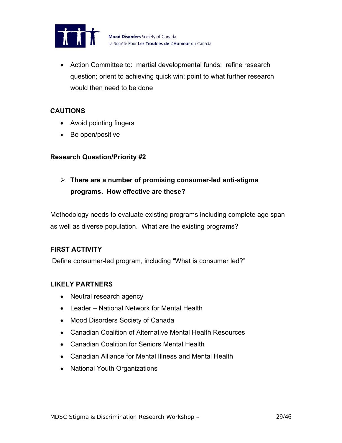

• Action Committee to: martial developmental funds; refine research question; orient to achieving quick win; point to what further research would then need to be done

## **CAUTIONS**

- Avoid pointing fingers
- Be open/positive

## **Research Question/Priority #2**

¾ **There are a number of promising consumer-led anti-stigma programs. How effective are these?** 

Methodology needs to evaluate existing programs including complete age span as well as diverse population. What are the existing programs?

## **FIRST ACTIVITY**

Define consumer-led program, including "What is consumer led?"

#### **LIKELY PARTNERS**

- Neutral research agency
- Leader National Network for Mental Health
- Mood Disorders Society of Canada
- Canadian Coalition of Alternative Mental Health Resources
- Canadian Coalition for Seniors Mental Health
- Canadian Alliance for Mental Illness and Mental Health
- National Youth Organizations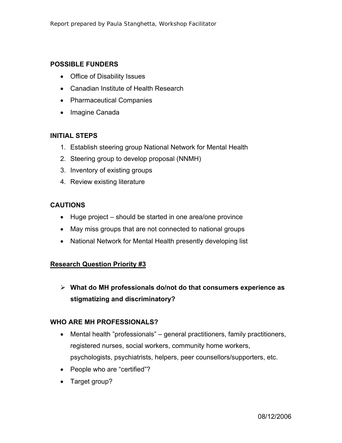## **POSSIBLE FUNDERS**

- Office of Disability Issues
- Canadian Institute of Health Research
- Pharmaceutical Companies
- Imagine Canada

## **INITIAL STEPS**

- 1. Establish steering group National Network for Mental Health
- 2. Steering group to develop proposal (NNMH)
- 3. Inventory of existing groups
- 4. Review existing literature

## **CAUTIONS**

- Huge project should be started in one area/one province
- May miss groups that are not connected to national groups
- National Network for Mental Health presently developing list

## **Research Question Priority #3**

¾ **What do MH professionals do/not do that consumers experience as stigmatizing and discriminatory?** 

#### **WHO ARE MH PROFESSIONALS?**

- Mental health "professionals" general practitioners, family practitioners, registered nurses, social workers, community home workers, psychologists, psychiatrists, helpers, peer counsellors/supporters, etc.
- People who are "certified"?
- Target group?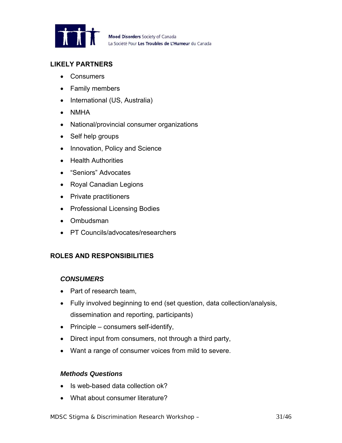

## **LIKELY PARTNERS**

- Consumers
- Family members
- International (US, Australia)
- NMHA
- National/provincial consumer organizations
- Self help groups
- Innovation, Policy and Science
- Health Authorities
- "Seniors" Advocates
- Royal Canadian Legions
- Private practitioners
- Professional Licensing Bodies
- Ombudsman
- PT Councils/advocates/researchers

## **ROLES AND RESPONSIBILITIES**

#### *CONSUMERS*

- Part of research team,
- Fully involved beginning to end (set question, data collection/analysis, dissemination and reporting, participants)
- Principle consumers self-identify,
- Direct input from consumers, not through a third party,
- Want a range of consumer voices from mild to severe.

#### *Methods Questions*

- Is web-based data collection ok?
- What about consumer literature?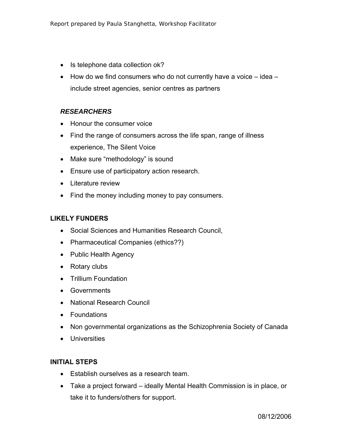- Is telephone data collection ok?
- How do we find consumers who do not currently have a voice idea include street agencies, senior centres as partners

## *RESEARCHERS*

- Honour the consumer voice
- Find the range of consumers across the life span, range of illness experience, The Silent Voice
- Make sure "methodology" is sound
- Ensure use of participatory action research.
- Literature review
- Find the money including money to pay consumers.

#### **LIKELY FUNDERS**

- Social Sciences and Humanities Research Council,
- Pharmaceutical Companies (ethics??)
- Public Health Agency
- Rotary clubs
- Trillium Foundation
- Governments
- National Research Council
- Foundations
- Non governmental organizations as the Schizophrenia Society of Canada
- Universities

#### **INITIAL STEPS**

- Establish ourselves as a research team.
- Take a project forward ideally Mental Health Commission is in place, or take it to funders/others for support.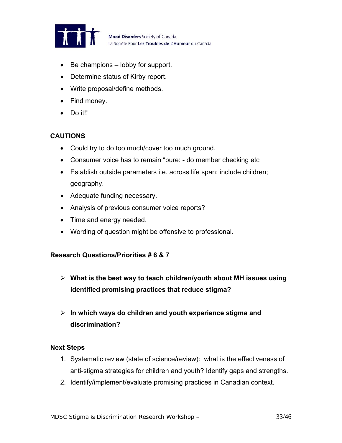

Mood Disorders Society of Canada La Société Pour Les Troubles de L'Humeur du Canada

- Be champions lobby for support.
- Determine status of Kirby report.
- Write proposal/define methods.
- Find money.
- Do it!!

## **CAUTIONS**

- Could try to do too much/cover too much ground.
- Consumer voice has to remain "pure: do member checking etc
- Establish outside parameters i.e. across life span; include children; geography.
- Adequate funding necessary.
- Analysis of previous consumer voice reports?
- Time and energy needed.
- Wording of question might be offensive to professional.

#### **Research Questions/Priorities # 6 & 7**

- ¾ **What is the best way to teach children/youth about MH issues using identified promising practices that reduce stigma?**
- ¾ **In which ways do children and youth experience stigma and discrimination?**

#### **Next Steps**

- 1. Systematic review (state of science/review): what is the effectiveness of anti-stigma strategies for children and youth? Identify gaps and strengths.
- 2. Identify/implement/evaluate promising practices in Canadian context.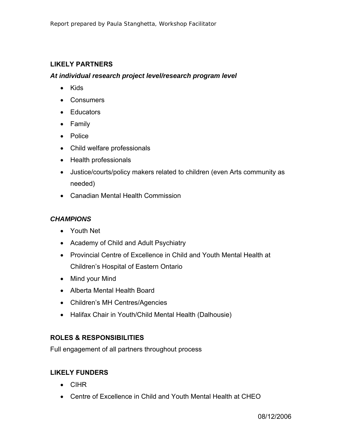## **LIKELY PARTNERS**

#### *At individual research project level/research program level*

- Kids
- Consumers
- Educators
- Family
- Police
- Child welfare professionals
- Health professionals
- Justice/courts/policy makers related to children (even Arts community as needed)
- Canadian Mental Health Commission

## *CHAMPIONS*

- Youth Net
- Academy of Child and Adult Psychiatry
- Provincial Centre of Excellence in Child and Youth Mental Health at Children's Hospital of Eastern Ontario
- Mind your Mind
- Alberta Mental Health Board
- Children's MH Centres/Agencies
- Halifax Chair in Youth/Child Mental Health (Dalhousie)

## **ROLES & RESPONSIBILITIES**

Full engagement of all partners throughout process

## **LIKELY FUNDERS**

- CIHR
- Centre of Excellence in Child and Youth Mental Health at CHEO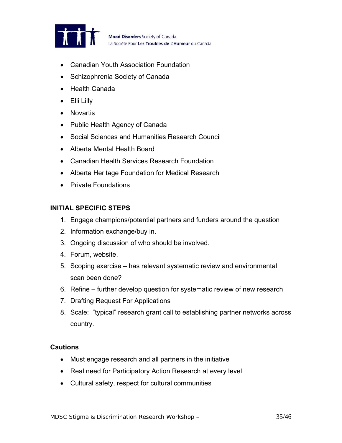

- Canadian Youth Association Foundation
- Schizophrenia Society of Canada
- Health Canada
- Elli Lilly
- Novartis
- Public Health Agency of Canada
- Social Sciences and Humanities Research Council
- Alberta Mental Health Board
- Canadian Health Services Research Foundation
- Alberta Heritage Foundation for Medical Research
- Private Foundations

#### **INITIAL SPECIFIC STEPS**

- 1. Engage champions/potential partners and funders around the question
- 2. Information exchange/buy in.
- 3. Ongoing discussion of who should be involved.
- 4. Forum, website.
- 5. Scoping exercise has relevant systematic review and environmental scan been done?
- 6. Refine further develop question for systematic review of new research
- 7. Drafting Request For Applications
- 8. Scale: "typical" research grant call to establishing partner networks across country.

#### **Cautions**

- Must engage research and all partners in the initiative
- Real need for Participatory Action Research at every level
- Cultural safety, respect for cultural communities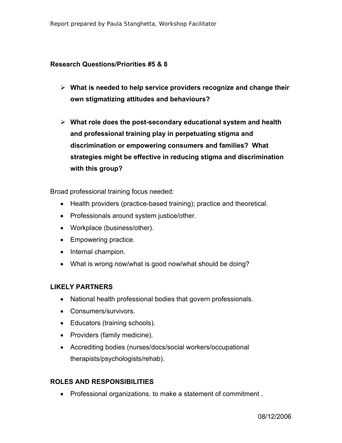#### **Research Questions/Priorities #5 & 8**

- ¾ **What is needed to help service providers recognize and change their own stigmatizing attitudes and behaviours?**
- ¾ **What role does the post-secondary educational system and health and professional training play in perpetuating stigma and discrimination or empowering consumers and families? What strategies might be effective in reducing stigma and discrimination with this group?**

Broad professional training focus needed:

- Health providers (practice-based training); practice and theoretical.
- Professionals around system justice/other.
- Workplace (business/other).
- Empowering practice.
- Internal champion.
- What is wrong now/what is good now/what should be doing?

#### **LIKELY PARTNERS**

- National health professional bodies that govern professionals.
- Consumers/survivors.
- Educators (training schools).
- Providers (family medicine).
- Accrediting bodies (nurses/docs/social workers/occupational therapists/psychologists/rehab).

#### **ROLES AND RESPONSIBILITIES**

• Professional organizations. to make a statement of commitment .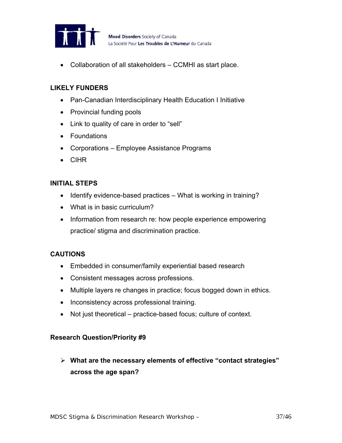

• Collaboration of all stakeholders – CCMHI as start place.

## **LIKELY FUNDERS**

- Pan-Canadian Interdisciplinary Health Education I Initiative
- Provincial funding pools
- Link to quality of care in order to "sell"
- Foundations
- Corporations Employee Assistance Programs
- CIHR

## **INITIAL STEPS**

- Identify evidence-based practices What is working in training?
- What is in basic curriculum?
- Information from research re: how people experience empowering practice/ stigma and discrimination practice.

#### **CAUTIONS**

- Embedded in consumer/family experiential based research
- Consistent messages across professions.
- Multiple layers re changes in practice; focus bogged down in ethics.
- Inconsistency across professional training.
- Not just theoretical practice-based focus; culture of context.

#### **Research Question/Priority #9**

¾ **What are the necessary elements of effective "contact strategies" across the age span?**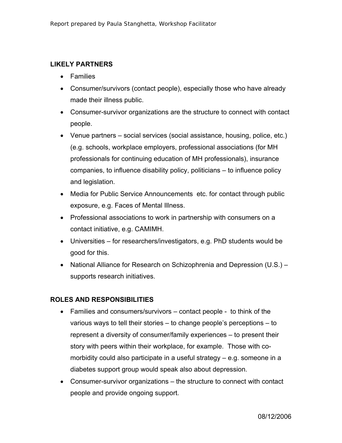## **LIKELY PARTNERS**

- Families
- Consumer/survivors (contact people), especially those who have already made their illness public.
- Consumer-survivor organizations are the structure to connect with contact people.
- Venue partners social services (social assistance, housing, police, etc.) (e.g. schools, workplace employers, professional associations (for MH professionals for continuing education of MH professionals), insurance companies, to influence disability policy, politicians – to influence policy and legislation.
- Media for Public Service Announcements etc. for contact through public exposure, e.g. Faces of Mental Illness.
- Professional associations to work in partnership with consumers on a contact initiative, e.g. CAMIMH.
- Universities for researchers/investigators, e.g. PhD students would be good for this.
- National Alliance for Research on Schizophrenia and Depression (U.S.) supports research initiatives.

# **ROLES AND RESPONSIBILITIES**

- Families and consumers/survivors contact people to think of the various ways to tell their stories – to change people's perceptions – to represent a diversity of consumer/family experiences – to present their story with peers within their workplace, for example. Those with comorbidity could also participate in a useful strategy – e.g. someone in a diabetes support group would speak also about depression.
- Consumer-survivor organizations the structure to connect with contact people and provide ongoing support.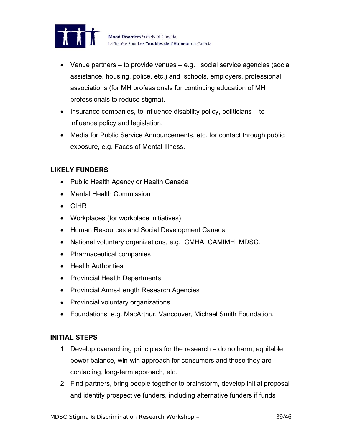

- Venue partners to provide venues e.g. social service agencies (social assistance, housing, police, etc.) and schools, employers, professional associations (for MH professionals for continuing education of MH professionals to reduce stigma).
- Insurance companies, to influence disability policy, politicians to influence policy and legislation.
- Media for Public Service Announcements, etc. for contact through public exposure, e.g. Faces of Mental Illness.

## **LIKELY FUNDERS**

- Public Health Agency or Health Canada
- Mental Health Commission
- CIHR
- Workplaces (for workplace initiatives)
- Human Resources and Social Development Canada
- National voluntary organizations, e.g. CMHA, CAMIMH, MDSC.
- Pharmaceutical companies
- Health Authorities
- Provincial Health Departments
- Provincial Arms-Length Research Agencies
- Provincial voluntary organizations
- Foundations, e.g. MacArthur, Vancouver, Michael Smith Foundation.

## **INITIAL STEPS**

- 1. Develop overarching principles for the research do no harm, equitable power balance, win-win approach for consumers and those they are contacting, long-term approach, etc.
- 2. Find partners, bring people together to brainstorm, develop initial proposal and identify prospective funders, including alternative funders if funds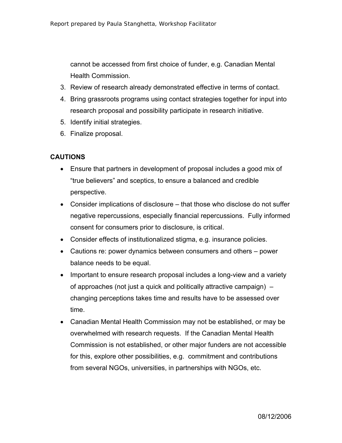cannot be accessed from first choice of funder, e.g. Canadian Mental Health Commission.

- 3. Review of research already demonstrated effective in terms of contact.
- 4. Bring grassroots programs using contact strategies together for input into research proposal and possibility participate in research initiative.
- 5. Identify initial strategies.
- 6. Finalize proposal.

## **CAUTIONS**

- Ensure that partners in development of proposal includes a good mix of "true believers" and sceptics, to ensure a balanced and credible perspective.
- Consider implications of disclosure that those who disclose do not suffer negative repercussions, especially financial repercussions. Fully informed consent for consumers prior to disclosure, is critical.
- Consider effects of institutionalized stigma, e.g. insurance policies.
- Cautions re: power dynamics between consumers and others power balance needs to be equal.
- Important to ensure research proposal includes a long-view and a variety of approaches (not just a quick and politically attractive campaign) – changing perceptions takes time and results have to be assessed over time.
- Canadian Mental Health Commission may not be established, or may be overwhelmed with research requests. If the Canadian Mental Health Commission is not established, or other major funders are not accessible for this, explore other possibilities, e.g. commitment and contributions from several NGOs, universities, in partnerships with NGOs, etc.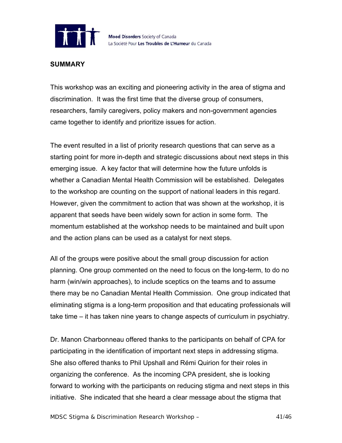

#### **SUMMARY**

This workshop was an exciting and pioneering activity in the area of stigma and discrimination. It was the first time that the diverse group of consumers, researchers, family caregivers, policy makers and non-government agencies came together to identify and prioritize issues for action.

The event resulted in a list of priority research questions that can serve as a starting point for more in-depth and strategic discussions about next steps in this emerging issue. A key factor that will determine how the future unfolds is whether a Canadian Mental Health Commission will be established. Delegates to the workshop are counting on the support of national leaders in this regard. However, given the commitment to action that was shown at the workshop, it is apparent that seeds have been widely sown for action in some form. The momentum established at the workshop needs to be maintained and built upon and the action plans can be used as a catalyst for next steps.

All of the groups were positive about the small group discussion for action planning. One group commented on the need to focus on the long-term, to do no harm (win/win approaches), to include sceptics on the teams and to assume there may be no Canadian Mental Health Commission. One group indicated that eliminating stigma is a long-term proposition and that educating professionals will take time – it has taken nine years to change aspects of curriculum in psychiatry.

Dr. Manon Charbonneau offered thanks to the participants on behalf of CPA for participating in the identification of important next steps in addressing stigma. She also offered thanks to Phil Upshall and Rémi Quirion for their roles in organizing the conference. As the incoming CPA president, she is looking forward to working with the participants on reducing stigma and next steps in this initiative. She indicated that she heard a clear message about the stigma that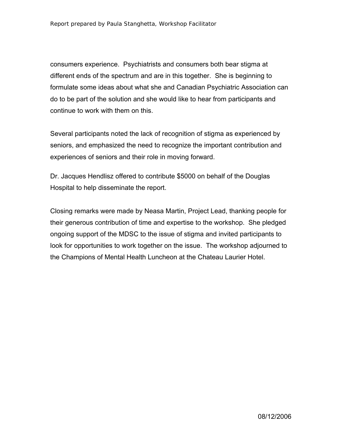consumers experience. Psychiatrists and consumers both bear stigma at different ends of the spectrum and are in this together. She is beginning to formulate some ideas about what she and Canadian Psychiatric Association can do to be part of the solution and she would like to hear from participants and continue to work with them on this.

Several participants noted the lack of recognition of stigma as experienced by seniors, and emphasized the need to recognize the important contribution and experiences of seniors and their role in moving forward.

Dr. Jacques Hendlisz offered to contribute \$5000 on behalf of the Douglas Hospital to help disseminate the report.

Closing remarks were made by Neasa Martin, Project Lead, thanking people for their generous contribution of time and expertise to the workshop. She pledged ongoing support of the MDSC to the issue of stigma and invited participants to look for opportunities to work together on the issue. The workshop adjourned to the Champions of Mental Health Luncheon at the Chateau Laurier Hotel.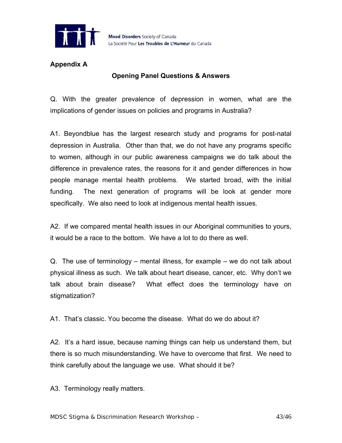

## **Appendix A**

## **Opening Panel Questions & Answers**

Q. With the greater prevalence of depression in women, what are the implications of gender issues on policies and programs in Australia?

A1. Beyondblue has the largest research study and programs for post-natal depression in Australia. Other than that, we do not have any programs specific to women, although in our public awareness campaigns we do talk about the difference in prevalence rates, the reasons for it and gender differences in how people manage mental health problems. We started broad, with the initial funding. The next generation of programs will be look at gender more specifically. We also need to look at indigenous mental health issues.

A2. If we compared mental health issues in our Aboriginal communities to yours, it would be a race to the bottom. We have a lot to do there as well.

Q. The use of terminology – mental illness, for example – we do not talk about physical illness as such. We talk about heart disease, cancer, etc. Why don't we talk about brain disease? What effect does the terminology have on stigmatization?

A1. That's classic. You become the disease. What do we do about it?

A2. It's a hard issue, because naming things can help us understand them, but there is so much misunderstanding. We have to overcome that first. We need to think carefully about the language we use. What should it be?

A3. Terminology really matters.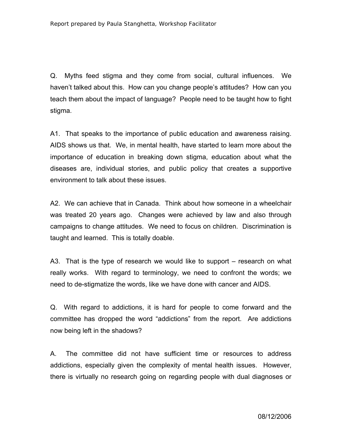Q. Myths feed stigma and they come from social, cultural influences. We haven't talked about this. How can you change people's attitudes? How can you teach them about the impact of language? People need to be taught how to fight stigma.

A1. That speaks to the importance of public education and awareness raising. AIDS shows us that. We, in mental health, have started to learn more about the importance of education in breaking down stigma, education about what the diseases are, individual stories, and public policy that creates a supportive environment to talk about these issues.

A2. We can achieve that in Canada. Think about how someone in a wheelchair was treated 20 years ago. Changes were achieved by law and also through campaigns to change attitudes. We need to focus on children. Discrimination is taught and learned. This is totally doable.

A3. That is the type of research we would like to support – research on what really works. With regard to terminology, we need to confront the words; we need to de-stigmatize the words, like we have done with cancer and AIDS.

Q. With regard to addictions, it is hard for people to come forward and the committee has dropped the word "addictions" from the report. Are addictions now being left in the shadows?

A. The committee did not have sufficient time or resources to address addictions, especially given the complexity of mental health issues. However, there is virtually no research going on regarding people with dual diagnoses or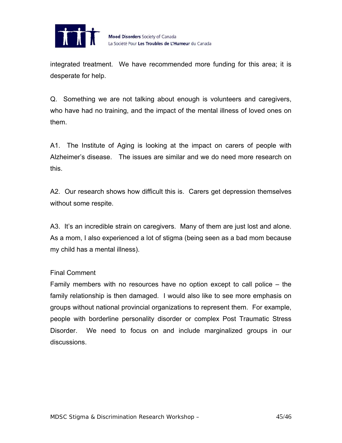

integrated treatment. We have recommended more funding for this area; it is desperate for help.

Q. Something we are not talking about enough is volunteers and caregivers, who have had no training, and the impact of the mental illness of loved ones on them.

A1. The Institute of Aging is looking at the impact on carers of people with Alzheimer's disease. The issues are similar and we do need more research on this.

A2. Our research shows how difficult this is. Carers get depression themselves without some respite.

A3. It's an incredible strain on caregivers. Many of them are just lost and alone. As a mom, I also experienced a lot of stigma (being seen as a bad mom because my child has a mental illness).

#### Final Comment

Family members with no resources have no option except to call police – the family relationship is then damaged. I would also like to see more emphasis on groups without national provincial organizations to represent them. For example, people with borderline personality disorder or complex Post Traumatic Stress Disorder. We need to focus on and include marginalized groups in our discussions.